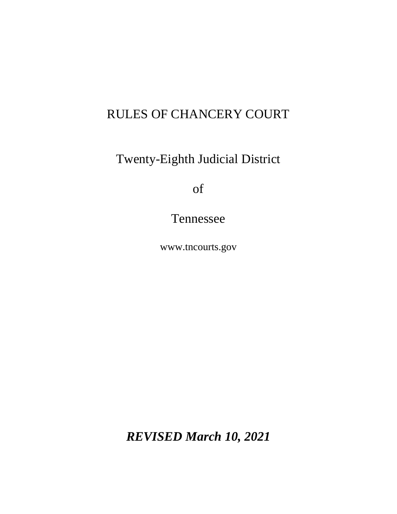# RULES OF CHANCERY COURT

Twenty-Eighth Judicial District

of

Tennessee

www.tncourts.gov

*REVISED March 10, 2021*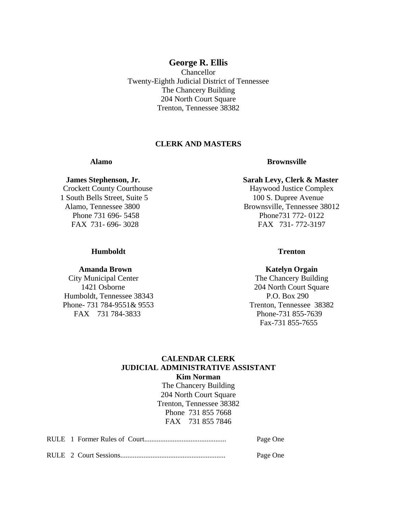#### **George R. Ellis**

Chancellor Twenty-Eighth Judicial District of Tennessee The Chancery Building 204 North Court Square Trenton, Tennessee 38382

### **CLERK AND MASTERS**

Crockett County Courthouse Haywood Justice Complex 1 South Bells Street, Suite 5 100 S. Dupree Avenue

#### **Humboldt Trenton**

 Humboldt, Tennessee 38343 P.O. Box 290 Phone- 731 784-9551& 9553 Trenton, Tennessee 38382 FAX 731 784-3833 Phone-731 855-7639

#### **Alamo Brownsville**

#### **James Stephenson, Jr. Sarah Levy, Clerk & Master**

 Alamo, Tennessee 3800 Brownsville, Tennessee 38012 Phone 731 696- 5458 **Phone** 731 696- 5458 FAX 731- 696- 3028 FAX 731- 772-3197

#### **Amanda Brown Katelyn Orgain**

City Municipal Center The Chancery Building 1421 Osborne 204 North Court Square Fax-731 855-7655

#### **CALENDAR CLERK JUDICIAL ADMINISTRATIVE ASSISTANT Kim Norman**

The Chancery Building 204 North Court Square Trenton, Tennessee 38382 Phone 731 855 7668 FAX 731 855 7846

|  | Page One |
|--|----------|
|  | Page One |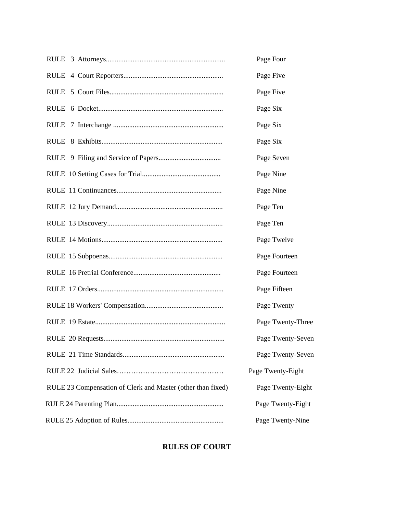|                                                             | Page Four         |
|-------------------------------------------------------------|-------------------|
|                                                             | Page Five         |
|                                                             | Page Five         |
|                                                             | Page Six          |
|                                                             | Page Six          |
|                                                             | Page Six          |
|                                                             | Page Seven        |
|                                                             | Page Nine         |
|                                                             | Page Nine         |
|                                                             | Page Ten          |
|                                                             | Page Ten          |
|                                                             | Page Twelve       |
|                                                             | Page Fourteen     |
|                                                             | Page Fourteen     |
|                                                             | Page Fifteen      |
|                                                             | Page Twenty       |
|                                                             | Page Twenty-Three |
|                                                             | Page Twenty-Seven |
|                                                             | Page Twenty-Seven |
|                                                             | Page Twenty-Eight |
| RULE 23 Compensation of Clerk and Master (other than fixed) | Page Twenty-Eight |
|                                                             | Page Twenty-Eight |
|                                                             | Page Twenty-Nine  |

### **RULES OF COURT**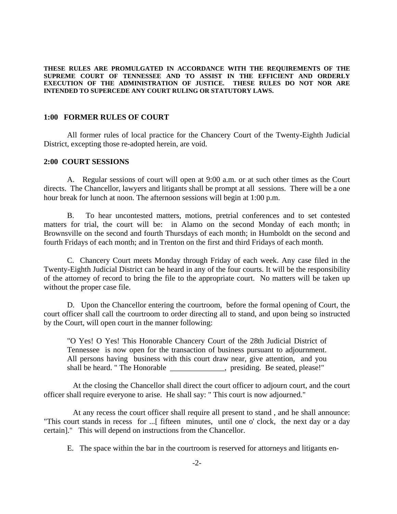**THESE RULES ARE PROMULGATED IN ACCORDANCE WITH THE REQUIREMENTS OF THE SUPREME COURT OF TENNESSEE AND TO ASSIST IN THE EFFICIENT AND ORDERLY EXECUTION OF THE ADMINISTRATION OF JUSTICE. THESE RULES DO NOT NOR ARE INTENDED TO SUPERCEDE ANY COURT RULING OR STATUTORY LAWS.**

#### **1:00 FORMER RULES OF COURT**

All former rules of local practice for the Chancery Court of the Twenty-Eighth Judicial District, excepting those re-adopted herein, are void.

#### **2:00 COURT SESSIONS**

A. Regular sessions of court will open at 9:00 a.m. or at such other times as the Court directs. The Chancellor, lawyers and litigants shall be prompt at all sessions. There will be a one hour break for lunch at noon. The afternoon sessions will begin at 1:00 p.m.

B. To hear uncontested matters, motions, pretrial conferences and to set contested matters for trial, the court will be: in Alamo on the second Monday of each month; in Brownsville on the second and fourth Thursdays of each month; in Humboldt on the second and fourth Fridays of each month; and in Trenton on the first and third Fridays of each month.

C. Chancery Court meets Monday through Friday of each week. Any case filed in the Twenty-Eighth Judicial District can be heard in any of the four courts. It will be the responsibility of the attorney of record to bring the file to the appropriate court. No matters will be taken up without the proper case file.

D. Upon the Chancellor entering the courtroom, before the formal opening of Court, the court officer shall call the courtroom to order directing all to stand, and upon being so instructed by the Court, will open court in the manner following:

"O Yes! O Yes! This Honorable Chancery Court of the 28th Judicial District of Tennessee is now open for the transaction of business pursuant to adjournment. All persons having business with this court draw near, give attention, and you shall be heard. " The Honorable expression as presiding. Be seated, please!"

 At the closing the Chancellor shall direct the court officer to adjourn court, and the court officer shall require everyone to arise. He shall say: " This court is now adjourned."

 At any recess the court officer shall require all present to stand , and he shall announce: "This court stands in recess for ...[ fifteen minutes, until one o' clock, the next day or a day certain]." This will depend on instructions from the Chancellor.

E. The space within the bar in the courtroom is reserved for attorneys and litigants en-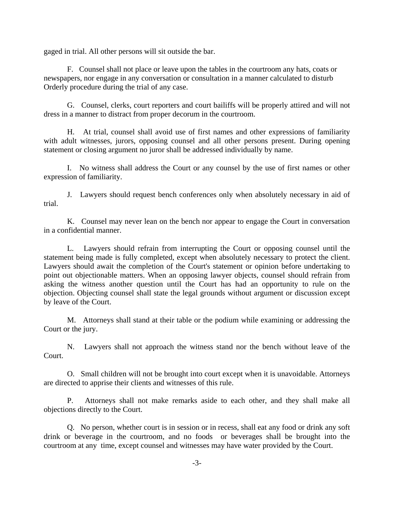gaged in trial. All other persons will sit outside the bar.

F. Counsel shall not place or leave upon the tables in the courtroom any hats, coats or newspapers, nor engage in any conversation or consultation in a manner calculated to disturb Orderly procedure during the trial of any case.

G. Counsel, clerks, court reporters and court bailiffs will be properly attired and will not dress in a manner to distract from proper decorum in the courtroom.

H. At trial, counsel shall avoid use of first names and other expressions of familiarity with adult witnesses, jurors, opposing counsel and all other persons present. During opening statement or closing argument no juror shall be addressed individually by name.

I. No witness shall address the Court or any counsel by the use of first names or other expression of familiarity.

J. Lawyers should request bench conferences only when absolutely necessary in aid of trial.

K. Counsel may never lean on the bench nor appear to engage the Court in conversation in a confidential manner.

L. Lawyers should refrain from interrupting the Court or opposing counsel until the statement being made is fully completed, except when absolutely necessary to protect the client. Lawyers should await the completion of the Court's statement or opinion before undertaking to point out objectionable matters. When an opposing lawyer objects, counsel should refrain from asking the witness another question until the Court has had an opportunity to rule on the objection. Objecting counsel shall state the legal grounds without argument or discussion except by leave of the Court.

M. Attorneys shall stand at their table or the podium while examining or addressing the Court or the jury.

N. Lawyers shall not approach the witness stand nor the bench without leave of the Court.

O. Small children will not be brought into court except when it is unavoidable. Attorneys are directed to apprise their clients and witnesses of this rule.

P. Attorneys shall not make remarks aside to each other, and they shall make all objections directly to the Court.

Q. No person, whether court is in session or in recess, shall eat any food or drink any soft drink or beverage in the courtroom, and no foods or beverages shall be brought into the courtroom at any time, except counsel and witnesses may have water provided by the Court.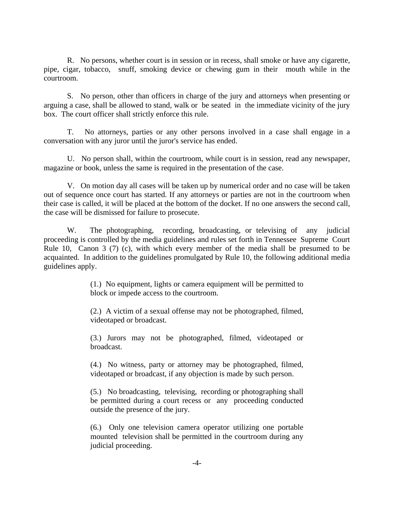R. No persons, whether court is in session or in recess, shall smoke or have any cigarette, pipe, cigar, tobacco, snuff, smoking device or chewing gum in their mouth while in the courtroom.

S. No person, other than officers in charge of the jury and attorneys when presenting or arguing a case, shall be allowed to stand, walk or be seated in the immediate vicinity of the jury box. The court officer shall strictly enforce this rule.

T. No attorneys, parties or any other persons involved in a case shall engage in a conversation with any juror until the juror's service has ended.

U. No person shall, within the courtroom, while court is in session, read any newspaper, magazine or book, unless the same is required in the presentation of the case.

V. On motion day all cases will be taken up by numerical order and no case will be taken out of sequence once court has started. If any attorneys or parties are not in the courtroom when their case is called, it will be placed at the bottom of the docket. If no one answers the second call, the case will be dismissed for failure to prosecute.

W. The photographing, recording, broadcasting, or televising of any judicial proceeding is controlled by the media guidelines and rules set forth in Tennessee Supreme Court Rule 10, Canon 3 (7) (c), with which every member of the media shall be presumed to be acquainted. In addition to the guidelines promulgated by Rule 10, the following additional media guidelines apply.

> (1.) No equipment, lights or camera equipment will be permitted to block or impede access to the courtroom.

> (2.) A victim of a sexual offense may not be photographed, filmed, videotaped or broadcast.

> (3.) Jurors may not be photographed, filmed, videotaped or broadcast.

> (4.) No witness, party or attorney may be photographed, filmed, videotaped or broadcast, if any objection is made by such person.

> (5.) No broadcasting, televising, recording or photographing shall be permitted during a court recess or any proceeding conducted outside the presence of the jury.

> (6.) Only one television camera operator utilizing one portable mounted television shall be permitted in the courtroom during any judicial proceeding.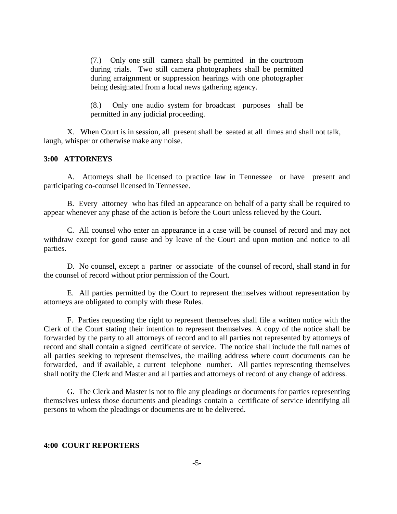(7.) Only one still camera shall be permitted in the courtroom during trials. Two still camera photographers shall be permitted during arraignment or suppression hearings with one photographer being designated from a local news gathering agency.

(8.) Only one audio system for broadcast purposes shall be permitted in any judicial proceeding.

X. When Court is in session, all present shall be seated at all times and shall not talk, laugh, whisper or otherwise make any noise.

#### **3:00 ATTORNEYS**

A. Attorneys shall be licensed to practice law in Tennessee or have present and participating co-counsel licensed in Tennessee.

B. Every attorney who has filed an appearance on behalf of a party shall be required to appear whenever any phase of the action is before the Court unless relieved by the Court.

C. All counsel who enter an appearance in a case will be counsel of record and may not withdraw except for good cause and by leave of the Court and upon motion and notice to all parties.

D. No counsel, except a partner or associate of the counsel of record, shall stand in for the counsel of record without prior permission of the Court.

E. All parties permitted by the Court to represent themselves without representation by attorneys are obligated to comply with these Rules.

F. Parties requesting the right to represent themselves shall file a written notice with the Clerk of the Court stating their intention to represent themselves. A copy of the notice shall be forwarded by the party to all attorneys of record and to all parties not represented by attorneys of record and shall contain a signed certificate of service. The notice shall include the full names of all parties seeking to represent themselves, the mailing address where court documents can be forwarded, and if available, a current telephone number. All parties representing themselves shall notify the Clerk and Master and all parties and attorneys of record of any change of address.

G. The Clerk and Master is not to file any pleadings or documents for parties representing themselves unless those documents and pleadings contain a certificate of service identifying all persons to whom the pleadings or documents are to be delivered.

#### **4:00 COURT REPORTERS**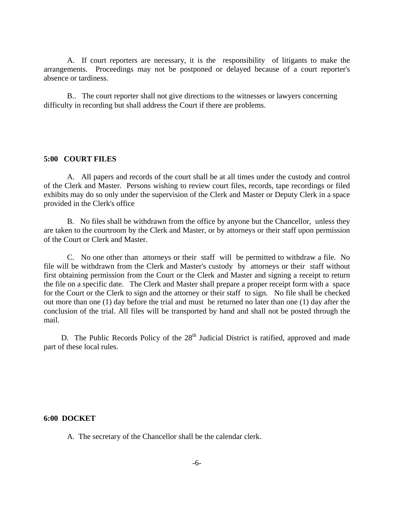A. If court reporters are necessary, it is the responsibility of litigants to make the arrangements. Proceedings may not be postponed or delayed because of a court reporter's absence or tardiness.

B.. The court reporter shall not give directions to the witnesses or lawyers concerning difficulty in recording but shall address the Court if there are problems.

#### **5:00 COURT FILES**

A. All papers and records of the court shall be at all times under the custody and control of the Clerk and Master. Persons wishing to review court files, records, tape recordings or filed exhibits may do so only under the supervision of the Clerk and Master or Deputy Clerk in a space provided in the Clerk's office

B. No files shall be withdrawn from the office by anyone but the Chancellor, unless they are taken to the courtroom by the Clerk and Master, or by attorneys or their staff upon permission of the Court or Clerk and Master.

C. No one other than attorneys or their staff will be permitted to withdraw a file. No file will be withdrawn from the Clerk and Master's custody by attorneys or their staff without first obtaining permission from the Court or the Clerk and Master and signing a receipt to return the file on a specific date. The Clerk and Master shall prepare a proper receipt form with a space for the Court or the Clerk to sign and the attorney or their staff to sign. No file shall be checked out more than one (1) day before the trial and must be returned no later than one (1) day after the conclusion of the trial. All files will be transported by hand and shall not be posted through the mail.

D. The Public Records Policy of the  $28<sup>th</sup>$  Judicial District is ratified, approved and made part of these local rules.

#### **6:00 DOCKET**

A. The secretary of the Chancellor shall be the calendar clerk.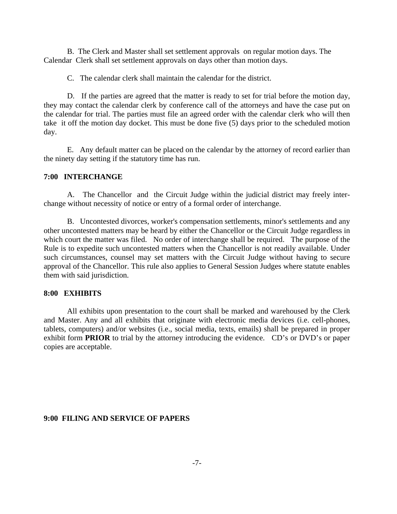B. The Clerk and Master shall set settlement approvals on regular motion days. The Calendar Clerk shall set settlement approvals on days other than motion days.

C. The calendar clerk shall maintain the calendar for the district.

D. If the parties are agreed that the matter is ready to set for trial before the motion day, they may contact the calendar clerk by conference call of the attorneys and have the case put on the calendar for trial. The parties must file an agreed order with the calendar clerk who will then take it off the motion day docket. This must be done five (5) days prior to the scheduled motion day.

E. Any default matter can be placed on the calendar by the attorney of record earlier than the ninety day setting if the statutory time has run.

#### **7:00 INTERCHANGE**

A. The Chancellor and the Circuit Judge within the judicial district may freely interchange without necessity of notice or entry of a formal order of interchange.

B. Uncontested divorces, worker's compensation settlements, minor's settlements and any other uncontested matters may be heard by either the Chancellor or the Circuit Judge regardless in which court the matter was filed. No order of interchange shall be required. The purpose of the Rule is to expedite such uncontested matters when the Chancellor is not readily available. Under such circumstances, counsel may set matters with the Circuit Judge without having to secure approval of the Chancellor. This rule also applies to General Session Judges where statute enables them with said jurisdiction.

#### **8:00 EXHIBITS**

All exhibits upon presentation to the court shall be marked and warehoused by the Clerk and Master. Any and all exhibits that originate with electronic media devices (i.e. cell-phones, tablets, computers) and/or websites (i.e., social media, texts, emails) shall be prepared in proper exhibit form **PRIOR** to trial by the attorney introducing the evidence. CD's or DVD's or paper copies are acceptable.

#### **9:00 FILING AND SERVICE OF PAPERS**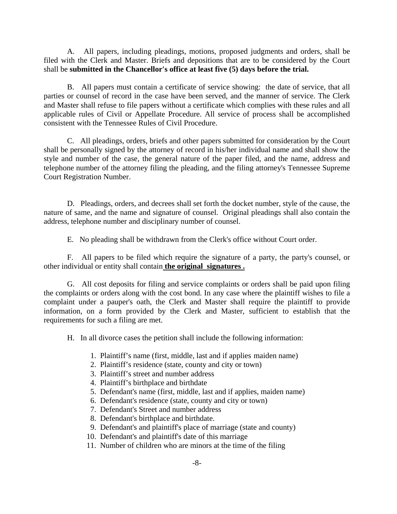A. All papers, including pleadings, motions, proposed judgments and orders, shall be filed with the Clerk and Master. Briefs and depositions that are to be considered by the Court shall be **submitted in the Chancellor's office at least five (5) days before the trial.**

B. All papers must contain a certificate of service showing: the date of service, that all parties or counsel of record in the case have been served, and the manner of service. The Clerk and Master shall refuse to file papers without a certificate which complies with these rules and all applicable rules of Civil or Appellate Procedure. All service of process shall be accomplished consistent with the Tennessee Rules of Civil Procedure.

C. All pleadings, orders, briefs and other papers submitted for consideration by the Court shall be personally signed by the attorney of record in his/her individual name and shall show the style and number of the case, the general nature of the paper filed, and the name, address and telephone number of the attorney filing the pleading, and the filing attorney's Tennessee Supreme Court Registration Number.

D. Pleadings, orders, and decrees shall set forth the docket number, style of the cause, the nature of same, and the name and signature of counsel. Original pleadings shall also contain the address, telephone number and disciplinary number of counsel.

E. No pleading shall be withdrawn from the Clerk's office without Court order.

F. All papers to be filed which require the signature of a party, the party's counsel, or other individual or entity shall contain **the original signatures .**

G. All cost deposits for filing and service complaints or orders shall be paid upon filing the complaints or orders along with the cost bond. In any case where the plaintiff wishes to file a complaint under a pauper's oath, the Clerk and Master shall require the plaintiff to provide information, on a form provided by the Clerk and Master, sufficient to establish that the requirements for such a filing are met.

H. In all divorce cases the petition shall include the following information:

- 1. Plaintiff's name (first, middle, last and if applies maiden name)
- 2. Plaintiff's residence (state, county and city or town)
- 3. Plaintiff's street and number address
- 4. Plaintiff's birthplace and birthdate
- 5. Defendant's name (first, middle, last and if applies, maiden name)
- 6. Defendant's residence (state, county and city or town)
- 7. Defendant's Street and number address
- 8. Defendant's birthplace and birthdate.
- 9. Defendant's and plaintiff's place of marriage (state and county)
- 10. Defendant's and plaintiff's date of this marriage
- 11. Number of children who are minors at the time of the filing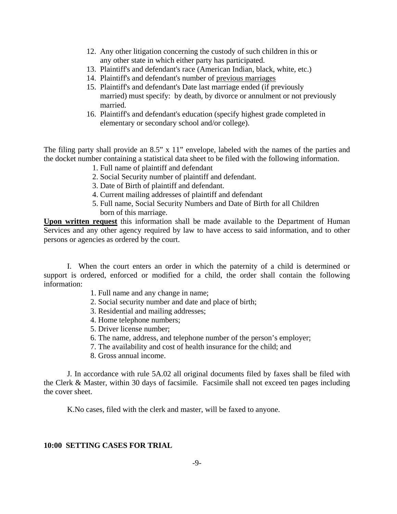- 12. Any other litigation concerning the custody of such children in this or any other state in which either party has participated.
- 13. Plaintiff's and defendant's race (American Indian, black, white, etc.)
- 14. Plaintiff's and defendant's number of previous marriages
- 15. Plaintiff's and defendant's Date last marriage ended (if previously married) must specify: by death, by divorce or annulment or not previously married.
- 16. Plaintiff's and defendant's education (specify highest grade completed in elementary or secondary school and/or college).

The filing party shall provide an 8.5" x 11" envelope, labeled with the names of the parties and the docket number containing a statistical data sheet to be filed with the following information.

- 1. Full name of plaintiff and defendant
- 2. Social Security number of plaintiff and defendant.
- 3. Date of Birth of plaintiff and defendant.
- 4. Current mailing addresses of plaintiff and defendant
- 5. Full name, Social Security Numbers and Date of Birth for all Children born of this marriage.

**Upon written request** this information shall be made available to the Department of Human Services and any other agency required by law to have access to said information, and to other persons or agencies as ordered by the court.

I. When the court enters an order in which the paternity of a child is determined or support is ordered, enforced or modified for a child, the order shall contain the following information:

- 1. Full name and any change in name;
- 2. Social security number and date and place of birth;
- 3. Residential and mailing addresses;
- 4. Home telephone numbers;
- 5. Driver license number;
- 6. The name, address, and telephone number of the person's employer;
- 7. The availability and cost of health insurance for the child; and
- 8. Gross annual income.

J. In accordance with rule 5A.02 all original documents filed by faxes shall be filed with the Clerk & Master, within 30 days of facsimile. Facsimile shall not exceed ten pages including the cover sheet.

K.No cases, filed with the clerk and master, will be faxed to anyone.

#### **10:00 SETTING CASES FOR TRIAL**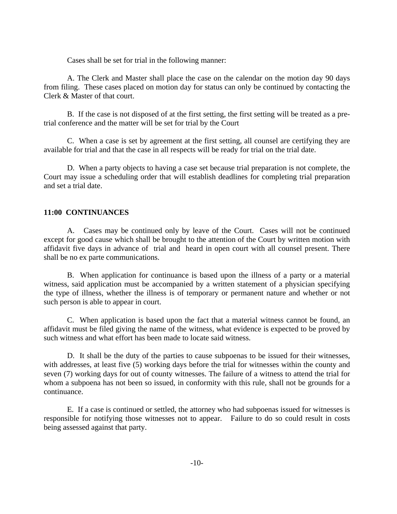Cases shall be set for trial in the following manner:

A. The Clerk and Master shall place the case on the calendar on the motion day 90 days from filing. These cases placed on motion day for status can only be continued by contacting the Clerk & Master of that court.

B. If the case is not disposed of at the first setting, the first setting will be treated as a pretrial conference and the matter will be set for trial by the Court

C. When a case is set by agreement at the first setting, all counsel are certifying they are available for trial and that the case in all respects will be ready for trial on the trial date.

D. When a party objects to having a case set because trial preparation is not complete, the Court may issue a scheduling order that will establish deadlines for completing trial preparation and set a trial date.

#### **11:00 CONTINUANCES**

A. Cases may be continued only by leave of the Court. Cases will not be continued except for good cause which shall be brought to the attention of the Court by written motion with affidavit five days in advance of trial and heard in open court with all counsel present. There shall be no ex parte communications.

B. When application for continuance is based upon the illness of a party or a material witness, said application must be accompanied by a written statement of a physician specifying the type of illness, whether the illness is of temporary or permanent nature and whether or not such person is able to appear in court.

C. When application is based upon the fact that a material witness cannot be found, an affidavit must be filed giving the name of the witness, what evidence is expected to be proved by such witness and what effort has been made to locate said witness.

D. It shall be the duty of the parties to cause subpoenas to be issued for their witnesses, with addresses, at least five (5) working days before the trial for witnesses within the county and seven (7) working days for out of county witnesses. The failure of a witness to attend the trial for whom a subpoena has not been so issued, in conformity with this rule, shall not be grounds for a continuance.

E. If a case is continued or settled, the attorney who had subpoenas issued for witnesses is responsible for notifying those witnesses not to appear. Failure to do so could result in costs being assessed against that party.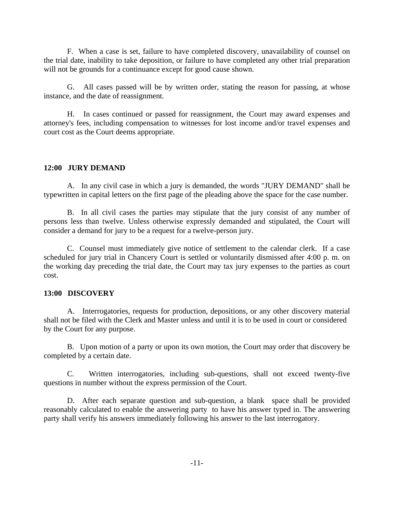F. When a case is set, failure to have completed discovery, unavailability of counsel on the trial date, inability to take deposition, or failure to have completed any other trial preparation will not be grounds for a continuance except for good cause shown.

G. All cases passed will be by written order, stating the reason for passing, at whose instance, and the date of reassignment.

H. In cases continued or passed for reassignment, the Court may award expenses and attorney's fees, including compensation to witnesses for lost income and/or travel expenses and court cost as the Court deems appropriate.

#### **12:00 JURY DEMAND**

A. In any civil case in which a jury is demanded, the words "JURY DEMAND" shall be typewritten in capital letters on the first page of the pleading above the space for the case number.

B. In all civil cases the parties may stipulate that the jury consist of any number of persons less than twelve. Unless otherwise expressly demanded and stipulated, the Court will consider a demand for jury to be a request for a twelve-person jury.

C. Counsel must immediately give notice of settlement to the calendar clerk. If a case scheduled for jury trial in Chancery Court is settled or voluntarily dismissed after 4:00 p. m. on the working day preceding the trial date, the Court may tax jury expenses to the parties as court cost.

#### **13:00 DISCOVERY**

A. Interrogatories, requests for production, depositions, or any other discovery material shall not be filed with the Clerk and Master unless and until it is to be used in court or considered by the Court for any purpose.

B. Upon motion of a party or upon its own motion, the Court may order that discovery be completed by a certain date.

C. Written interrogatories, including sub-questions, shall not exceed twenty-five questions in number without the express permission of the Court.

D. After each separate question and sub-question, a blank space shall be provided reasonably calculated to enable the answering party to have his answer typed in. The answering party shall verify his answers immediately following his answer to the last interrogatory.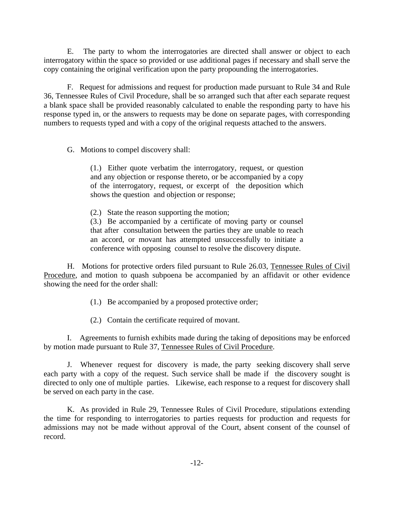E. The party to whom the interrogatories are directed shall answer or object to each interrogatory within the space so provided or use additional pages if necessary and shall serve the copy containing the original verification upon the party propounding the interrogatories.

F. Request for admissions and request for production made pursuant to Rule 34 and Rule 36, Tennessee Rules of Civil Procedure, shall be so arranged such that after each separate request a blank space shall be provided reasonably calculated to enable the responding party to have his response typed in, or the answers to requests may be done on separate pages, with corresponding numbers to requests typed and with a copy of the original requests attached to the answers.

G. Motions to compel discovery shall:

(1.) Either quote verbatim the interrogatory, request, or question and any objection or response thereto, or be accompanied by a copy of the interrogatory, request, or excerpt of the deposition which shows the question and objection or response;

(2.) State the reason supporting the motion;

(3.) Be accompanied by a certificate of moving party or counsel that after consultation between the parties they are unable to reach an accord, or movant has attempted unsuccessfully to initiate a conference with opposing counsel to resolve the discovery dispute.

H. Motions for protective orders filed pursuant to Rule 26.03, Tennessee Rules of Civil Procedure, and motion to quash subpoena be accompanied by an affidavit or other evidence showing the need for the order shall:

(1.) Be accompanied by a proposed protective order;

(2.) Contain the certificate required of movant.

I. Agreements to furnish exhibits made during the taking of depositions may be enforced by motion made pursuant to Rule 37, Tennessee Rules of Civil Procedure.

J. Whenever request for discovery is made, the party seeking discovery shall serve each party with a copy of the request. Such service shall be made if the discovery sought is directed to only one of multiple parties. Likewise, each response to a request for discovery shall be served on each party in the case.

K. As provided in Rule 29, Tennessee Rules of Civil Procedure, stipulations extending the time for responding to interrogatories to parties requests for production and requests for admissions may not be made without approval of the Court, absent consent of the counsel of record.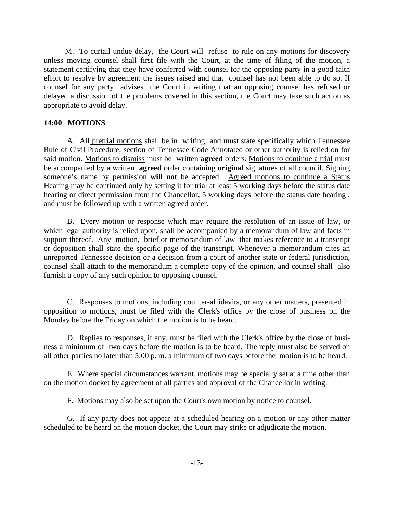M. To curtail undue delay, the Court will refuse to rule on any motions for discovery unless moving counsel shall first file with the Court, at the time of filing of the motion, a statement certifying that they have conferred with counsel for the opposing party in a good faith effort to resolve by agreement the issues raised and that counsel has not been able to do so. If counsel for any party advises the Court in writing that an opposing counsel has refused or delayed a discussion of the problems covered in this section, the Court may take such action as appropriate to avoid delay.

#### **14:00 MOTIONS**

A. All pretrial motions shall be in writing and must state specifically which Tennessee Rule of Civil Procedure, section of Tennessee Code Annotated or other authority is relied on for said motion. Motions to dismiss must be written **agreed** orders. Motions to continue a trial must be accompanied by a written **agreed** order containing **original** signatures of all council. Signing someone's name by permission **will not** be accepted. Agreed motions to continue a Status Hearing may be continued only by setting it for trial at least 5 working days before the status date hearing or direct permission from the Chancellor, 5 working days before the status date hearing , and must be followed up with a written agreed order.

B. Every motion or response which may require the resolution of an issue of law, or which legal authority is relied upon, shall be accompanied by a memorandum of law and facts in support thereof. Any motion, brief or memorandum of law that makes reference to a transcript or deposition shall state the specific page of the transcript. Whenever a memorandum cites an unreported Tennessee decision or a decision from a court of another state or federal jurisdiction, counsel shall attach to the memorandum a complete copy of the opinion, and counsel shall also furnish a copy of any such opinion to opposing counsel.

C. Responses to motions, including counter-affidavits, or any other matters, presented in opposition to motions, must be filed with the Clerk's office by the close of business on the Monday before the Friday on which the motion is to be heard.

D. Replies to responses, if any, must be filed with the Clerk's office by the close of business a minimum of two days before the motion is to be heard. The reply must also be served on all other parties no later than 5:00 p. m. a minimum of two days before the motion is to be heard.

E. Where special circumstances warrant, motions may be specially set at a time other than on the motion docket by agreement of all parties and approval of the Chancellor in writing.

F. Motions may also be set upon the Court's own motion by notice to counsel.

G. If any party does not appear at a scheduled hearing on a motion or any other matter scheduled to be heard on the motion docket, the Court may strike or adjudicate the motion.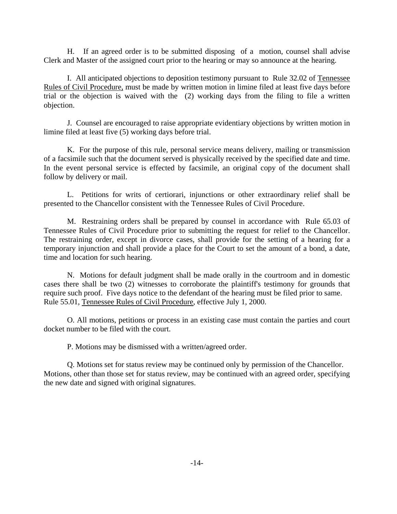H. If an agreed order is to be submitted disposing of a motion, counsel shall advise Clerk and Master of the assigned court prior to the hearing or may so announce at the hearing.

I. All anticipated objections to deposition testimony pursuant to Rule 32.02 of Tennessee Rules of Civil Procedure, must be made by written motion in limine filed at least five days before trial or the objection is waived with the (2) working days from the filing to file a written objection.

J. Counsel are encouraged to raise appropriate evidentiary objections by written motion in limine filed at least five (5) working days before trial.

K. For the purpose of this rule, personal service means delivery, mailing or transmission of a facsimile such that the document served is physically received by the specified date and time. In the event personal service is effected by facsimile, an original copy of the document shall follow by delivery or mail.

L. Petitions for writs of certiorari, injunctions or other extraordinary relief shall be presented to the Chancellor consistent with the Tennessee Rules of Civil Procedure.

M. Restraining orders shall be prepared by counsel in accordance with Rule 65.03 of Tennessee Rules of Civil Procedure prior to submitting the request for relief to the Chancellor. The restraining order, except in divorce cases, shall provide for the setting of a hearing for a temporary injunction and shall provide a place for the Court to set the amount of a bond, a date, time and location for such hearing.

N. Motions for default judgment shall be made orally in the courtroom and in domestic cases there shall be two (2) witnesses to corroborate the plaintiff's testimony for grounds that require such proof. Five days notice to the defendant of the hearing must be filed prior to same. Rule 55.01, Tennessee Rules of Civil Procedure, effective July 1, 2000.

O. All motions, petitions or process in an existing case must contain the parties and court docket number to be filed with the court.

P. Motions may be dismissed with a written/agreed order.

Q. Motions set for status review may be continued only by permission of the Chancellor. Motions, other than those set for status review, may be continued with an agreed order, specifying the new date and signed with original signatures.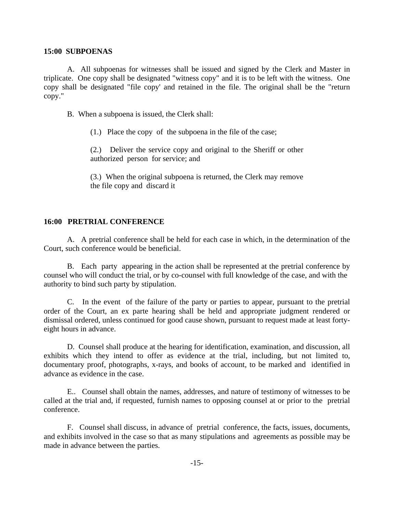#### **15:00 SUBPOENAS**

A. All subpoenas for witnesses shall be issued and signed by the Clerk and Master in triplicate. One copy shall be designated "witness copy" and it is to be left with the witness. One copy shall be designated "file copy' and retained in the file. The original shall be the "return copy."

B. When a subpoena is issued, the Clerk shall:

(1.) Place the copy of the subpoena in the file of the case;

(2.) Deliver the service copy and original to the Sheriff or other authorized person for service; and

(3.) When the original subpoena is returned, the Clerk may remove the file copy and discard it

#### **16:00 PRETRIAL CONFERENCE**

A. A pretrial conference shall be held for each case in which, in the determination of the Court, such conference would be beneficial.

B. Each party appearing in the action shall be represented at the pretrial conference by counsel who will conduct the trial, or by co-counsel with full knowledge of the case, and with the authority to bind such party by stipulation.

C. In the event of the failure of the party or parties to appear, pursuant to the pretrial order of the Court, an ex parte hearing shall be held and appropriate judgment rendered or dismissal ordered, unless continued for good cause shown, pursuant to request made at least fortyeight hours in advance.

D. Counsel shall produce at the hearing for identification, examination, and discussion, all exhibits which they intend to offer as evidence at the trial, including, but not limited to, documentary proof, photographs, x-rays, and books of account, to be marked and identified in advance as evidence in the case.

E.. Counsel shall obtain the names, addresses, and nature of testimony of witnesses to be called at the trial and, if requested, furnish names to opposing counsel at or prior to the pretrial conference.

F. Counsel shall discuss, in advance of pretrial conference, the facts, issues, documents, and exhibits involved in the case so that as many stipulations and agreements as possible may be made in advance between the parties.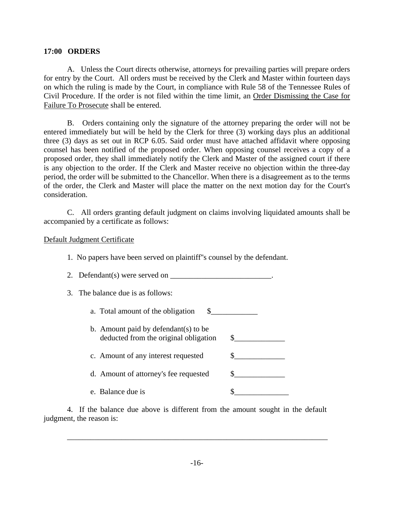#### **17:00 ORDERS**

A. Unless the Court directs otherwise, attorneys for prevailing parties will prepare orders for entry by the Court. All orders must be received by the Clerk and Master within fourteen days on which the ruling is made by the Court, in compliance with Rule 58 of the Tennessee Rules of Civil Procedure. If the order is not filed within the time limit, an Order Dismissing the Case for Failure To Prosecute shall be entered.

B. Orders containing only the signature of the attorney preparing the order will not be entered immediately but will be held by the Clerk for three (3) working days plus an additional three (3) days as set out in RCP 6.05. Said order must have attached affidavit where opposing counsel has been notified of the proposed order. When opposing counsel receives a copy of a proposed order, they shall immediately notify the Clerk and Master of the assigned court if there is any objection to the order. If the Clerk and Master receive no objection within the three-day period, the order will be submitted to the Chancellor. When there is a disagreement as to the terms of the order, the Clerk and Master will place the matter on the next motion day for the Court's consideration.

C. All orders granting default judgment on claims involving liquidated amounts shall be accompanied by a certificate as follows:

Default Judgment Certificate

- 1. No papers have been served on plaintiff''s counsel by the defendant.
- 2. Defendant(s) were served on  $\_\_\_\_\_\_\_\_\_\_\_\_\_\_\_\_\_\_\_$ .
- 3. The balance due is as follows:
	- a. Total amount of the obligation  $\$\$
	- b. Amount paid by defendant(s) to be deducted from the original obligation  $\quad \quad \text{\ssim}$ c. Amount of any interest requested  $\qquad \qquad \S$
	- d. Amount of attorney's fee requested  $\qquad \qquad \$\qquad \qquad$
	- e. Balance due is  $\sim$

4. If the balance due above is different from the amount sought in the default judgment, the reason is:

\_\_\_\_\_\_\_\_\_\_\_\_\_\_\_\_\_\_\_\_\_\_\_\_\_\_\_\_\_\_\_\_\_\_\_\_\_\_\_\_\_\_\_\_\_\_\_\_\_\_\_\_\_\_\_\_\_\_\_\_\_\_\_\_\_\_\_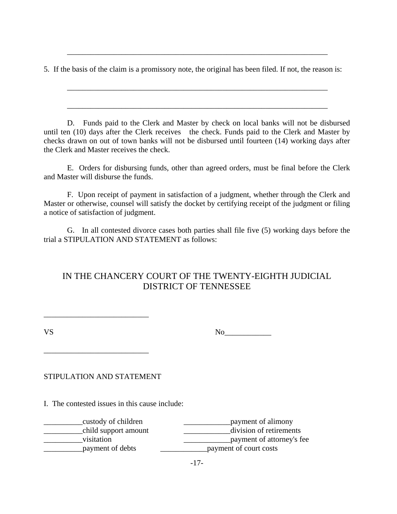5. If the basis of the claim is a promissory note, the original has been filed. If not, the reason is:

\_\_\_\_\_\_\_\_\_\_\_\_\_\_\_\_\_\_\_\_\_\_\_\_\_\_\_\_\_\_\_\_\_\_\_\_\_\_\_\_\_\_\_\_\_\_\_\_\_\_\_\_\_\_\_\_\_\_\_\_\_\_\_\_\_\_\_

\_\_\_\_\_\_\_\_\_\_\_\_\_\_\_\_\_\_\_\_\_\_\_\_\_\_\_\_\_\_\_\_\_\_\_\_\_\_\_\_\_\_\_\_\_\_\_\_\_\_\_\_\_\_\_\_\_\_\_\_\_\_\_\_\_\_\_

\_\_\_\_\_\_\_\_\_\_\_\_\_\_\_\_\_\_\_\_\_\_\_\_\_\_\_\_\_\_\_\_\_\_\_\_\_\_\_\_\_\_\_\_\_\_\_\_\_\_\_\_\_\_\_\_\_\_\_\_\_\_\_\_\_\_\_

D. Funds paid to the Clerk and Master by check on local banks will not be disbursed until ten (10) days after the Clerk receives the check. Funds paid to the Clerk and Master by checks drawn on out of town banks will not be disbursed until fourteen (14) working days after the Clerk and Master receives the check.

E. Orders for disbursing funds, other than agreed orders, must be final before the Clerk and Master will disburse the funds.

F. Upon receipt of payment in satisfaction of a judgment, whether through the Clerk and Master or otherwise, counsel will satisfy the docket by certifying receipt of the judgment or filing a notice of satisfaction of judgment.

G. In all contested divorce cases both parties shall file five (5) working days before the trial a STIPULATION AND STATEMENT as follows:

## IN THE CHANCERY COURT OF THE TWENTY-EIGHTH JUDICIAL DISTRICT OF TENNESSEE

VS No\_\_\_\_\_\_\_\_\_\_\_\_

STIPULATION AND STATEMENT

\_\_\_\_\_\_\_\_\_\_\_\_\_\_\_\_\_\_\_\_\_\_\_\_\_\_\_

\_\_\_\_\_\_\_\_\_\_\_\_\_\_\_\_\_\_\_\_\_\_\_\_\_\_\_

I. The contested issues in this cause include:

| custody of children  | payment of alimony        |
|----------------------|---------------------------|
| child support amount | division of retirements   |
| visitation           | payment of attorney's fee |
| payment of debts     | payment of court costs    |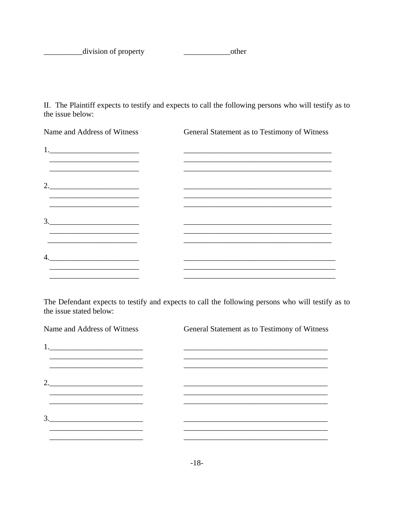division of property 

II. The Plaintiff expects to testify and expects to call the following persons who will testify as to the issue below:

| Name and Address of Witness                                                                                                                                                                                                                                                                                                                                                                                                                                                                                    | General Statement as to Testimony of Witness |
|----------------------------------------------------------------------------------------------------------------------------------------------------------------------------------------------------------------------------------------------------------------------------------------------------------------------------------------------------------------------------------------------------------------------------------------------------------------------------------------------------------------|----------------------------------------------|
| $1. \underline{\hspace{2cm} \phantom{2.5cm} \qquad \qquad }$                                                                                                                                                                                                                                                                                                                                                                                                                                                   |                                              |
|                                                                                                                                                                                                                                                                                                                                                                                                                                                                                                                |                                              |
| <u> 2002 - Johann John Stone, Amerikaansk politiker (d. 1888)</u>                                                                                                                                                                                                                                                                                                                                                                                                                                              |                                              |
| $2. \underline{\hspace{2cm}}$                                                                                                                                                                                                                                                                                                                                                                                                                                                                                  |                                              |
|                                                                                                                                                                                                                                                                                                                                                                                                                                                                                                                |                                              |
|                                                                                                                                                                                                                                                                                                                                                                                                                                                                                                                |                                              |
| $\begin{array}{c} 3. \qquad \qquad \text{---} \qquad \qquad \text{---} \qquad \qquad \text{---} \qquad \text{---} \qquad \text{---} \qquad \text{---} \qquad \text{---} \qquad \text{---} \qquad \text{---} \qquad \text{---} \qquad \text{---} \qquad \text{---} \qquad \text{---} \qquad \text{---} \qquad \text{---} \qquad \text{---} \qquad \text{---} \qquad \text{---} \qquad \text{---} \qquad \text{---} \qquad \text{---} \qquad \text{---} \qquad \text{---} \qquad \text{---} \qquad \text{---} \$ |                                              |
| the control of the control of the control of the control of the control of the control of                                                                                                                                                                                                                                                                                                                                                                                                                      |                                              |
| 4.<br><u> 1980 - Johann Stein, marwolaethau a bhann an t-Amhain an t-Amhain an t-Amhain an t-Amhain an t-Amhain an t-A</u>                                                                                                                                                                                                                                                                                                                                                                                     |                                              |
|                                                                                                                                                                                                                                                                                                                                                                                                                                                                                                                |                                              |

The Defendant expects to testify and expects to call the following persons who will testify as to the issue stated below:

| Name and Address of Witness         | General Statement as to Testimony of Witness |  |  |
|-------------------------------------|----------------------------------------------|--|--|
|                                     |                                              |  |  |
|                                     |                                              |  |  |
|                                     |                                              |  |  |
| 2. $\qquad \qquad$                  |                                              |  |  |
|                                     |                                              |  |  |
|                                     |                                              |  |  |
| $\begin{array}{c}\n3.\n\end{array}$ |                                              |  |  |
|                                     |                                              |  |  |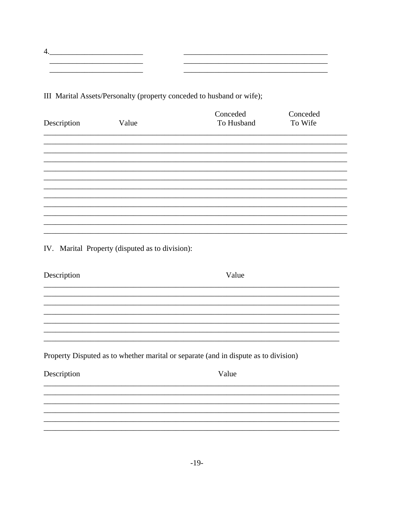III Marital Assets/Personalty (property conceded to husband or wife);

 $\begin{picture}(20,10) \put(0,0){\vector(1,0){100}} \put(15,0){\vector(1,0){100}} \put(15,0){\vector(1,0){100}} \put(15,0){\vector(1,0){100}} \put(15,0){\vector(1,0){100}} \put(15,0){\vector(1,0){100}} \put(15,0){\vector(1,0){100}} \put(15,0){\vector(1,0){100}} \put(15,0){\vector(1,0){100}} \put(15,0){\vector(1,0){100}} \put(15,0){\vector(1,0){100}} \$ 

| Description | Value                                           | Conceded<br>To Husband                                                              | Conceded<br>To Wife |
|-------------|-------------------------------------------------|-------------------------------------------------------------------------------------|---------------------|
|             |                                                 |                                                                                     |                     |
|             |                                                 |                                                                                     |                     |
|             |                                                 |                                                                                     |                     |
|             |                                                 |                                                                                     |                     |
|             |                                                 |                                                                                     |                     |
|             | IV. Marital Property (disputed as to division): |                                                                                     |                     |
| Description |                                                 | Value                                                                               |                     |
|             |                                                 |                                                                                     |                     |
|             |                                                 |                                                                                     |                     |
|             |                                                 | Property Disputed as to whether marital or separate (and in dispute as to division) |                     |
| Description |                                                 | Value                                                                               |                     |
|             |                                                 |                                                                                     |                     |
|             |                                                 |                                                                                     |                     |
|             |                                                 |                                                                                     |                     |

<u> 1980 - Jan Alexandro Alexandro Alexandro Alexandro Alexandro Alexandro Alexandro Alexandro Alexandro Alexandro </u>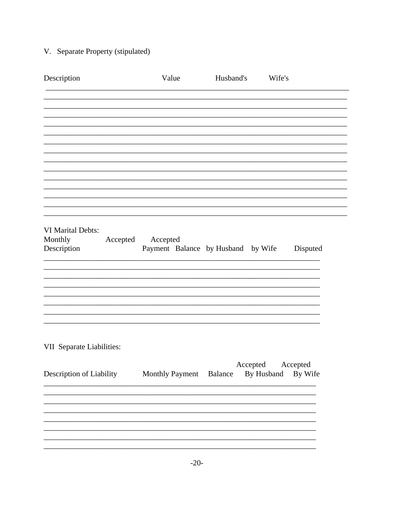# V. Separate Property (stipulated)

| Description               | Value                              | Husband's | Wife's                |
|---------------------------|------------------------------------|-----------|-----------------------|
|                           |                                    |           |                       |
|                           |                                    |           |                       |
|                           |                                    |           |                       |
|                           |                                    |           |                       |
|                           |                                    |           |                       |
|                           |                                    |           |                       |
|                           |                                    |           |                       |
|                           |                                    |           |                       |
| <b>VI Marital Debts:</b>  |                                    |           |                       |
| Monthly<br>Accepted       | Accepted                           |           |                       |
| Description               | Payment Balance by Husband by Wife |           | Disputed              |
|                           |                                    |           |                       |
|                           |                                    |           |                       |
|                           |                                    |           |                       |
|                           |                                    |           |                       |
|                           |                                    |           |                       |
| VII Separate Liabilities: |                                    |           |                       |
|                           |                                    | Accepted  | Accepted              |
| Description of Liability  | Monthly Payment                    | Balance   | By Husband<br>By Wife |
|                           |                                    |           |                       |
|                           |                                    |           |                       |
|                           |                                    |           |                       |
|                           |                                    |           |                       |
|                           |                                    |           |                       |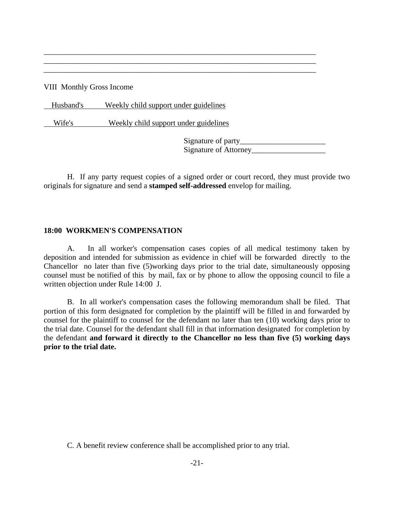VIII Monthly Gross Income

Husband's Weekly child support under guidelines

Wife's Weekly child support under guidelines

Signature of party\_\_\_\_\_\_\_\_\_\_\_\_\_\_\_\_\_\_\_\_\_\_ Signature of Attorney\_\_\_\_\_\_\_\_\_\_\_\_\_\_\_\_\_\_\_

H. If any party request copies of a signed order or court record, they must provide two originals for signature and send a **stamped self-addressed** envelop for mailing.

\_\_\_\_\_\_\_\_\_\_\_\_\_\_\_\_\_\_\_\_\_\_\_\_\_\_\_\_\_\_\_\_\_\_\_\_\_\_\_\_\_\_\_\_\_\_\_\_\_\_\_\_\_\_\_\_\_\_\_\_\_\_\_\_\_\_\_\_\_\_ \_\_\_\_\_\_\_\_\_\_\_\_\_\_\_\_\_\_\_\_\_\_\_\_\_\_\_\_\_\_\_\_\_\_\_\_\_\_\_\_\_\_\_\_\_\_\_\_\_\_\_\_\_\_\_\_\_\_\_\_\_\_\_\_\_\_\_\_\_\_ \_\_\_\_\_\_\_\_\_\_\_\_\_\_\_\_\_\_\_\_\_\_\_\_\_\_\_\_\_\_\_\_\_\_\_\_\_\_\_\_\_\_\_\_\_\_\_\_\_\_\_\_\_\_\_\_\_\_\_\_\_\_\_\_\_\_\_\_\_\_

#### **18:00 WORKMEN'S COMPENSATION**

A. In all worker's compensation cases copies of all medical testimony taken by deposition and intended for submission as evidence in chief will be forwarded directly to the Chancellor no later than five (5)working days prior to the trial date, simultaneously opposing counsel must be notified of this by mail, fax or by phone to allow the opposing council to file a written objection under Rule 14:00 J.

B. In all worker's compensation cases the following memorandum shall be filed. That portion of this form designated for completion by the plaintiff will be filled in and forwarded by counsel for the plaintiff to counsel for the defendant no later than ten (10) working days prior to the trial date. Counsel for the defendant shall fill in that information designated for completion by the defendant **and forward it directly to the Chancellor no less than five (5) working days prior to the trial date.**

C. A benefit review conference shall be accomplished prior to any trial.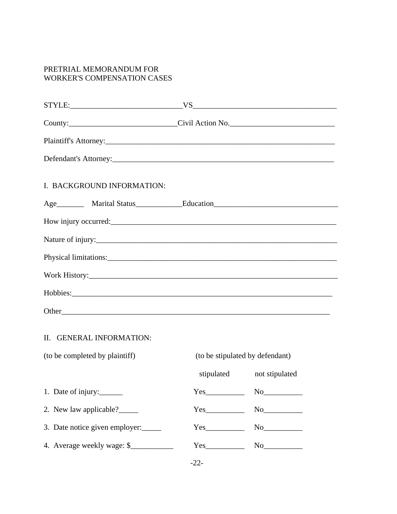### PRETRIAL MEMORANDUM FOR WORKER'S COMPENSATION CASES

| County:________________________________Civil Action No._________________________ |                                                                                                                                                                                                                                                                                       |    |  |  |
|----------------------------------------------------------------------------------|---------------------------------------------------------------------------------------------------------------------------------------------------------------------------------------------------------------------------------------------------------------------------------------|----|--|--|
|                                                                                  |                                                                                                                                                                                                                                                                                       |    |  |  |
| Defendant's Attorney:                                                            |                                                                                                                                                                                                                                                                                       |    |  |  |
| I. BACKGROUND INFORMATION:                                                       |                                                                                                                                                                                                                                                                                       |    |  |  |
|                                                                                  |                                                                                                                                                                                                                                                                                       |    |  |  |
|                                                                                  |                                                                                                                                                                                                                                                                                       |    |  |  |
| Nature of injury:<br><u>Nature of injury:</u>                                    |                                                                                                                                                                                                                                                                                       |    |  |  |
|                                                                                  |                                                                                                                                                                                                                                                                                       |    |  |  |
|                                                                                  |                                                                                                                                                                                                                                                                                       |    |  |  |
|                                                                                  |                                                                                                                                                                                                                                                                                       |    |  |  |
|                                                                                  |                                                                                                                                                                                                                                                                                       |    |  |  |
| II. GENERAL INFORMATION:                                                         |                                                                                                                                                                                                                                                                                       |    |  |  |
| (to be completed by plaintiff)<br>(to be stipulated by defendant)                |                                                                                                                                                                                                                                                                                       |    |  |  |
|                                                                                  | stipulated not stipulated                                                                                                                                                                                                                                                             |    |  |  |
| 1. Date of injury:                                                               | $Yes$ and $Yes$ and $Yes$ and $Yes$ and $Yes$ and $Yes$ and $Yes$ and $Yes$ and $Yes$ and $Yes$ and $Yes$ and $Yes$ and $Yes$ and $Yes$ and $Yes$ and $Yes$ and $Yes$ and $Yes$ and $Yes$ and $Yes$ and $Yes$ and $Yes$ and $Yes$ and $Yes$ and $Yes$ and $Yes$ and $Yes$ and $Yes$ a |    |  |  |
| 2. New law applicable?                                                           | $Yes$ and $Yes$ and $Yes$ and $Yes$ and $Yes$ and $Yes$ and $Yes$ and $Yes$ and $Yes$ and $Yes$ and $Yes$ and $Yes$ and $Yes$ and $Yes$ and $Yes$ and $Yes$ and $Yes$ and $Yes$ and $Yes$ and $Yes$ and $Yes$ and $Yes$ and $Yes$ and $Yes$ and $Yes$ and $Yes$ and $Yes$ and $Yes$ a | No |  |  |
| 3. Date notice given employer:                                                   |                                                                                                                                                                                                                                                                                       | No |  |  |
| 4. Average weekly wage: \$                                                       |                                                                                                                                                                                                                                                                                       |    |  |  |

-22-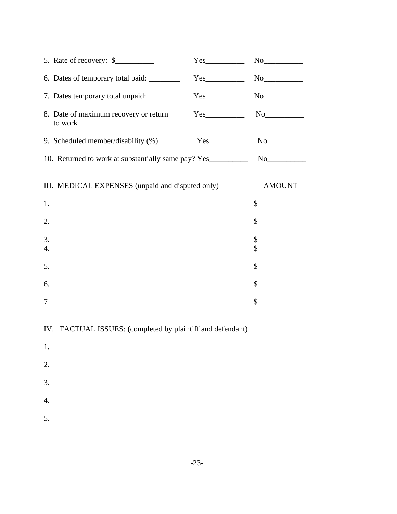| 5. Rate of recovery: $\frac{1}{2}$                         | $Yes$ No $No$ |               |  |  |
|------------------------------------------------------------|---------------|---------------|--|--|
|                                                            |               |               |  |  |
| 7. Dates temporary total unpaid: Ves                       |               |               |  |  |
| 8. Date of maximum recovery or return Yes                  |               |               |  |  |
|                                                            |               |               |  |  |
|                                                            |               |               |  |  |
| III. MEDICAL EXPENSES (unpaid and disputed only)           |               | <b>AMOUNT</b> |  |  |
| 1.                                                         |               | \$            |  |  |
| 2.                                                         |               | \$            |  |  |
| 3.<br>4.                                                   |               | \$<br>\$      |  |  |
| 5.                                                         |               | \$            |  |  |
| 6.                                                         |               | \$            |  |  |
| 7                                                          |               | \$            |  |  |
| IV. FACTUAL ISSUES: (completed by plaintiff and defendant) |               |               |  |  |
| 1.                                                         |               |               |  |  |
| 2.                                                         |               |               |  |  |
| 3.                                                         |               |               |  |  |
| 4.                                                         |               |               |  |  |
| 5.                                                         |               |               |  |  |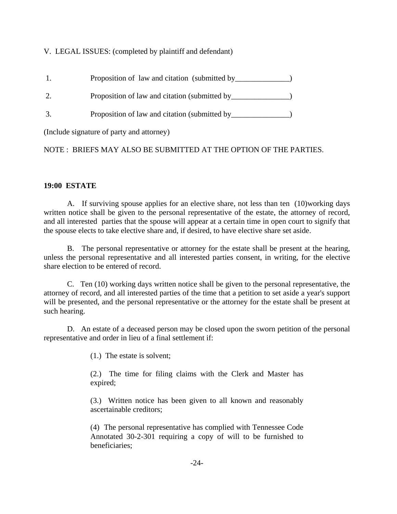### V. LEGAL ISSUES: (completed by plaintiff and defendant)

- 1. Proposition of law and citation (submitted by \_\_\_\_\_\_\_\_\_\_\_\_\_)
- 2. Proposition of law and citation (submitted by \_\_\_\_\_\_\_\_\_\_\_\_\_\_)
- 3. Proposition of law and citation (submitted by \_\_\_\_\_\_\_\_\_\_\_\_\_\_\_)

(Include signature of party and attorney)

NOTE : BRIEFS MAY ALSO BE SUBMITTED AT THE OPTION OF THE PARTIES.

#### **19:00 ESTATE**

A. If surviving spouse applies for an elective share, not less than ten (10)working days written notice shall be given to the personal representative of the estate, the attorney of record, and all interested parties that the spouse will appear at a certain time in open court to signify that the spouse elects to take elective share and, if desired, to have elective share set aside.

B. The personal representative or attorney for the estate shall be present at the hearing, unless the personal representative and all interested parties consent, in writing, for the elective share election to be entered of record.

C. Ten (10) working days written notice shall be given to the personal representative, the attorney of record, and all interested parties of the time that a petition to set aside a year's support will be presented, and the personal representative or the attorney for the estate shall be present at such hearing.

D. An estate of a deceased person may be closed upon the sworn petition of the personal representative and order in lieu of a final settlement if:

(1.) The estate is solvent;

(2.) The time for filing claims with the Clerk and Master has expired;

(3.) Written notice has been given to all known and reasonably ascertainable creditors;

(4) The personal representative has complied with Tennessee Code Annotated 30-2-301 requiring a copy of will to be furnished to beneficiaries;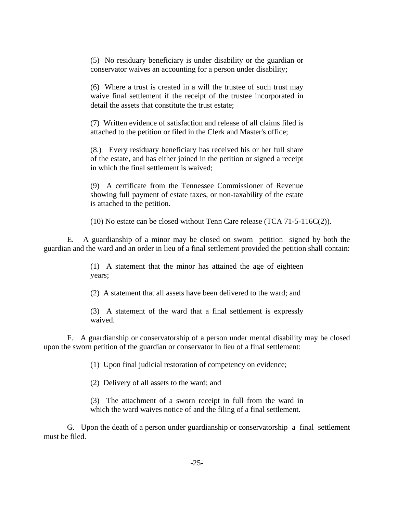(5) No residuary beneficiary is under disability or the guardian or conservator waives an accounting for a person under disability;

(6) Where a trust is created in a will the trustee of such trust may waive final settlement if the receipt of the trustee incorporated in detail the assets that constitute the trust estate;

 (7) Written evidence of satisfaction and release of all claims filed is attached to the petition or filed in the Clerk and Master's office;

(8.) Every residuary beneficiary has received his or her full share of the estate, and has either joined in the petition or signed a receipt in which the final settlement is waived;

(9) A certificate from the Tennessee Commissioner of Revenue showing full payment of estate taxes, or non-taxability of the estate is attached to the petition.

(10) No estate can be closed without Tenn Care release (TCA 71-5-116C(2)).

E. A guardianship of a minor may be closed on sworn petition signed by both the guardian and the ward and an order in lieu of a final settlement provided the petition shall contain:

> (1) A statement that the minor has attained the age of eighteen years;

> (2) A statement that all assets have been delivered to the ward; and

(3) A statement of the ward that a final settlement is expressly waived.

F. A guardianship or conservatorship of a person under mental disability may be closed upon the sworn petition of the guardian or conservator in lieu of a final settlement:

(1) Upon final judicial restoration of competency on evidence;

(2) Delivery of all assets to the ward; and

(3) The attachment of a sworn receipt in full from the ward in which the ward waives notice of and the filing of a final settlement.

G. Upon the death of a person under guardianship or conservatorship a final settlement must be filed.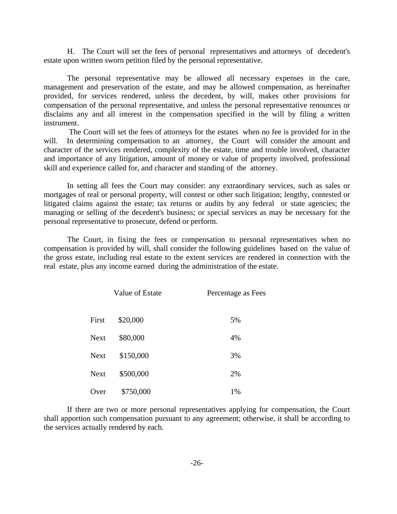H. The Court will set the fees of personal representatives and attorneys of decedent's estate upon written sworn petition filed by the personal representative.

The personal representative may be allowed all necessary expenses in the care, management and preservation of the estate, and may be allowed compensation, as hereinafter provided, for services rendered, unless the decedent, by will, makes other provisions for compensation of the personal representative, and unless the personal representative renounces or disclaims any and all interest in the compensation specified in the will by filing a written instrument.

 The Court will set the fees of attorneys for the estates when no fee is provided for in the will. In determining compensation to an attorney, the Court will consider the amount and character of the services rendered, complexity of the estate, time and trouble involved, character and importance of any litigation, amount of money or value of property involved, professional skill and experience called for, and character and standing of the attorney.

In setting all fees the Court may consider: any extraordinary services, such as sales or mortgages of real or personal property, will contest or other such litigation; lengthy, contested or litigated claims against the estate; tax returns or audits by any federal or state agencies; the managing or selling of the decedent's business; or special services as may be necessary for the personal representative to prosecute, defend or perform.

The Court, in fixing the fees or compensation to personal representatives when no compensation is provided by will, shall consider the following guidelines based on the value of the gross estate, including real estate to the extent services are rendered in connection with the real estate, plus any income earned during the administration of the estate.

|             | Value of Estate | Percentage as Fees |
|-------------|-----------------|--------------------|
| First       | \$20,000        | 5%                 |
| <b>Next</b> | \$80,000        | 4%                 |
| <b>Next</b> | \$150,000       | 3%                 |
| <b>Next</b> | \$500,000       | 2%                 |
| Over        | \$750,000       | 1%                 |

If there are two or more personal representatives applying for compensation, the Court shall apportion such compensation pursuant to any agreement; otherwise, it shall be according to the services actually rendered by each.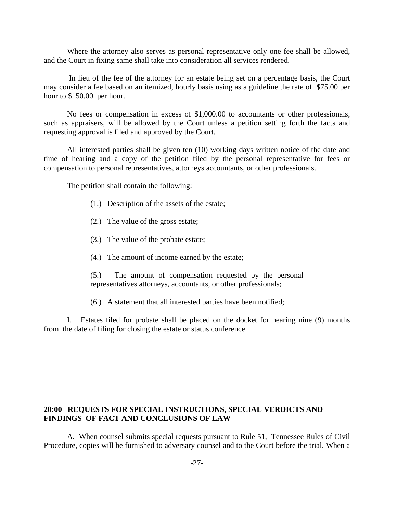Where the attorney also serves as personal representative only one fee shall be allowed, and the Court in fixing same shall take into consideration all services rendered.

In lieu of the fee of the attorney for an estate being set on a percentage basis, the Court may consider a fee based on an itemized, hourly basis using as a guideline the rate of \$75.00 per hour to \$150.00 per hour.

No fees or compensation in excess of \$1,000.00 to accountants or other professionals, such as appraisers, will be allowed by the Court unless a petition setting forth the facts and requesting approval is filed and approved by the Court.

All interested parties shall be given ten (10) working days written notice of the date and time of hearing and a copy of the petition filed by the personal representative for fees or compensation to personal representatives, attorneys accountants, or other professionals.

The petition shall contain the following:

- (1.) Description of the assets of the estate;
- (2.) The value of the gross estate;
- (3.) The value of the probate estate;
- (4.) The amount of income earned by the estate;
- (5.) The amount of compensation requested by the personal representatives attorneys, accountants, or other professionals;
- (6.) A statement that all interested parties have been notified;

I. Estates filed for probate shall be placed on the docket for hearing nine (9) months from the date of filing for closing the estate or status conference.

#### **20:00 REQUESTS FOR SPECIAL INSTRUCTIONS, SPECIAL VERDICTS AND FINDINGS OF FACT AND CONCLUSIONS OF LAW**

A. When counsel submits special requests pursuant to Rule 51, Tennessee Rules of Civil Procedure, copies will be furnished to adversary counsel and to the Court before the trial. When a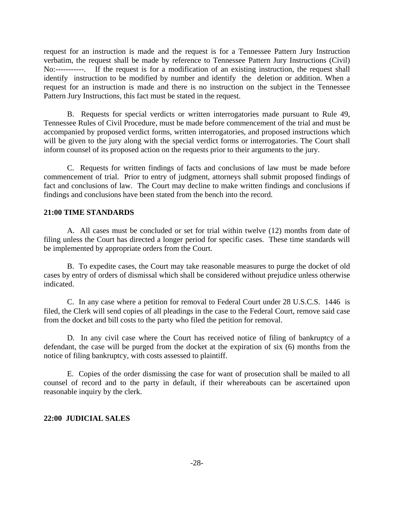request for an instruction is made and the request is for a Tennessee Pattern Jury Instruction verbatim, the request shall be made by reference to Tennessee Pattern Jury Instructions (Civil) No:-----------. If the request is for a modification of an existing instruction, the request shall identify instruction to be modified by number and identify the deletion or addition. When a request for an instruction is made and there is no instruction on the subject in the Tennessee Pattern Jury Instructions, this fact must be stated in the request.

B. Requests for special verdicts or written interrogatories made pursuant to Rule 49, Tennessee Rules of Civil Procedure, must be made before commencement of the trial and must be accompanied by proposed verdict forms, written interrogatories, and proposed instructions which will be given to the jury along with the special verdict forms or interrogatories. The Court shall inform counsel of its proposed action on the requests prior to their arguments to the jury.

C. Requests for written findings of facts and conclusions of law must be made before commencement of trial. Prior to entry of judgment, attorneys shall submit proposed findings of fact and conclusions of law. The Court may decline to make written findings and conclusions if findings and conclusions have been stated from the bench into the record.

#### **21:00 TIME STANDARDS**

A. All cases must be concluded or set for trial within twelve (12) months from date of filing unless the Court has directed a longer period for specific cases. These time standards will be implemented by appropriate orders from the Court.

B. To expedite cases, the Court may take reasonable measures to purge the docket of old cases by entry of orders of dismissal which shall be considered without prejudice unless otherwise indicated.

C. In any case where a petition for removal to Federal Court under 28 U.S.C.S. 1446 is filed, the Clerk will send copies of all pleadings in the case to the Federal Court, remove said case from the docket and bill costs to the party who filed the petition for removal.

D. In any civil case where the Court has received notice of filing of bankruptcy of a defendant, the case will be purged from the docket at the expiration of six (6) months from the notice of filing bankruptcy, with costs assessed to plaintiff.

E. Copies of the order dismissing the case for want of prosecution shall be mailed to all counsel of record and to the party in default, if their whereabouts can be ascertained upon reasonable inquiry by the clerk.

#### **22:00 JUDICIAL SALES**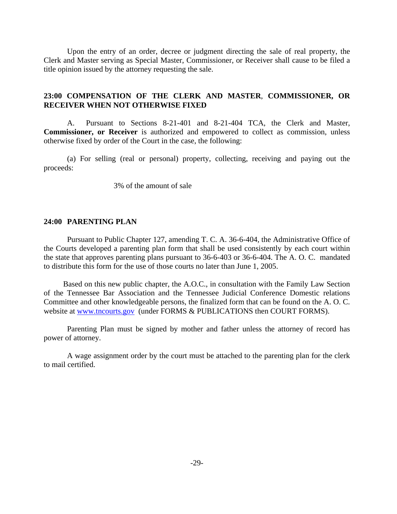Upon the entry of an order, decree or judgment directing the sale of real property, the Clerk and Master serving as Special Master, Commissioner, or Receiver shall cause to be filed a title opinion issued by the attorney requesting the sale.

#### **23:00 COMPENSATION OF THE CLERK AND MASTER**, **COMMISSIONER, OR RECEIVER WHEN NOT OTHERWISE FIXED**

A. Pursuant to Sections 8-21-401 and 8-21-404 TCA, the Clerk and Master, **Commissioner, or Receiver** is authorized and empowered to collect as commission, unless otherwise fixed by order of the Court in the case, the following:

(a) For selling (real or personal) property, collecting, receiving and paying out the proceeds:

3% of the amount of sale

#### **24:00 PARENTING PLAN**

 Pursuant to Public Chapter 127, amending T. C. A. 36-6-404, the Administrative Office of the Courts developed a parenting plan form that shall be used consistently by each court within the state that approves parenting plans pursuant to 36-6-403 or 36-6-404. The A. O. C. mandated to distribute this form for the use of those courts no later than June 1, 2005.

 Based on this new public chapter, the A.O.C., in consultation with the Family Law Section of the Tennessee Bar Association and the Tennessee Judicial Conference Domestic relations Committee and other knowledgeable persons, the finalized form that can be found on the A. O. C. website at www.tncourts.gov (under FORMS & PUBLICATIONS then COURT FORMS).

Parenting Plan must be signed by mother and father unless the attorney of record has power of attorney.

A wage assignment order by the court must be attached to the parenting plan for the clerk to mail certified.